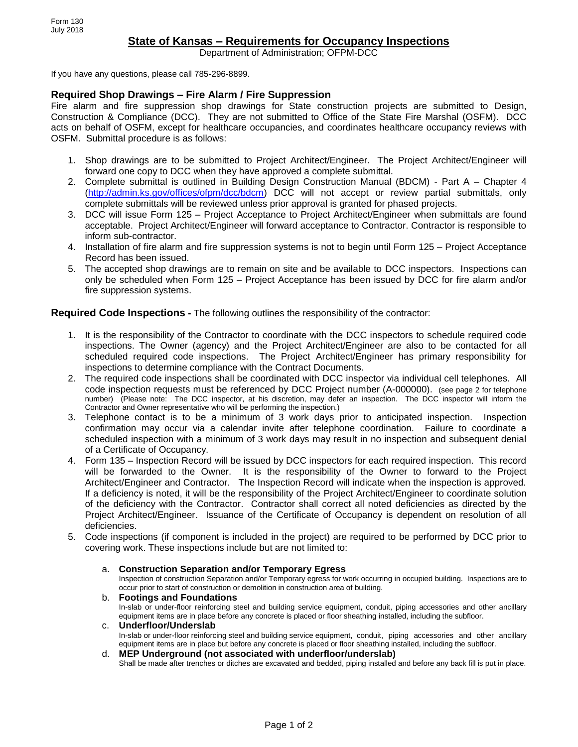# **State of Kansas – Requirements for Occupancy Inspections**

Department of Administration; OFPM-DCC

If you have any questions, please call 785-296-8899.

# **Required Shop Drawings – Fire Alarm / Fire Suppression**

Fire alarm and fire suppression shop drawings for State construction projects are submitted to Design, Construction & Compliance (DCC). They are not submitted to Office of the State Fire Marshal (OSFM). DCC acts on behalf of OSFM, except for healthcare occupancies, and coordinates healthcare occupancy reviews with OSFM. Submittal procedure is as follows:

- 1. Shop drawings are to be submitted to Project Architect/Engineer. The Project Architect/Engineer will forward one copy to DCC when they have approved a complete submittal.
- 2. Complete submittal is outlined in Building Design Construction Manual (BDCM) Part A Chapter 4 [\(http://admin.ks.gov/offices/ofpm/dcc/bdcm\)](http://admin.ks.gov/offices/ofpm/dcc/bdcm) DCC will not accept or review partial submittals, only complete submittals will be reviewed unless prior approval is granted for phased projects.
- 3. DCC will issue Form 125 Project Acceptance to Project Architect/Engineer when submittals are found acceptable. Project Architect/Engineer will forward acceptance to Contractor. Contractor is responsible to inform sub-contractor.
- 4. Installation of fire alarm and fire suppression systems is not to begin until Form 125 Project Acceptance Record has been issued.
- 5. The accepted shop drawings are to remain on site and be available to DCC inspectors. Inspections can only be scheduled when Form 125 – Project Acceptance has been issued by DCC for fire alarm and/or fire suppression systems.

# **Required Code Inspections -** The following outlines the responsibility of the contractor:

- 1. It is the responsibility of the Contractor to coordinate with the DCC inspectors to schedule required code inspections. The Owner (agency) and the Project Architect/Engineer are also to be contacted for all scheduled required code inspections. The Project Architect/Engineer has primary responsibility for inspections to determine compliance with the Contract Documents.
- 2. The required code inspections shall be coordinated with DCC inspector via individual cell telephones. All code inspection requests must be referenced by DCC Project number (A-000000). (see page 2 for telephone number) (Please note: The DCC inspector, at his discretion, may defer an inspection. The DCC inspector will inform the Contractor and Owner representative who will be performing the inspection.)
- 3. Telephone contact is to be a minimum of 3 work days prior to anticipated inspection. Inspection confirmation may occur via a calendar invite after telephone coordination. Failure to coordinate a scheduled inspection with a minimum of 3 work days may result in no inspection and subsequent denial of a Certificate of Occupancy.
- 4. Form 135 Inspection Record will be issued by DCC inspectors for each required inspection. This record will be forwarded to the Owner. It is the responsibility of the Owner to forward to the Project Architect/Engineer and Contractor. The Inspection Record will indicate when the inspection is approved. If a deficiency is noted, it will be the responsibility of the Project Architect/Engineer to coordinate solution of the deficiency with the Contractor. Contractor shall correct all noted deficiencies as directed by the Project Architect/Engineer. Issuance of the Certificate of Occupancy is dependent on resolution of all deficiencies.
- 5. Code inspections (if component is included in the project) are required to be performed by DCC prior to covering work. These inspections include but are not limited to:

## a. **Construction Separation and/or Temporary Egress**

Inspection of construction Separation and/or Temporary egress for work occurring in occupied building. Inspections are to occur prior to start of construction or demolition in construction area of building.

# b. **Footings and Foundations**

In-slab or under-floor reinforcing steel and building service equipment, conduit, piping accessories and other ancillary equipment items are in place before any concrete is placed or floor sheathing installed, including the subfloor.

# c. **Underfloor/Underslab**

In-slab or under-floor reinforcing steel and building service equipment, conduit, piping accessories and other ancillary equipment items are in place but before any concrete is placed or floor sheathing installed, including the subfloor.

#### d. **MEP Underground (not associated with underfloor/underslab)**

Shall be made after trenches or ditches are excavated and bedded, piping installed and before any back fill is put in place.